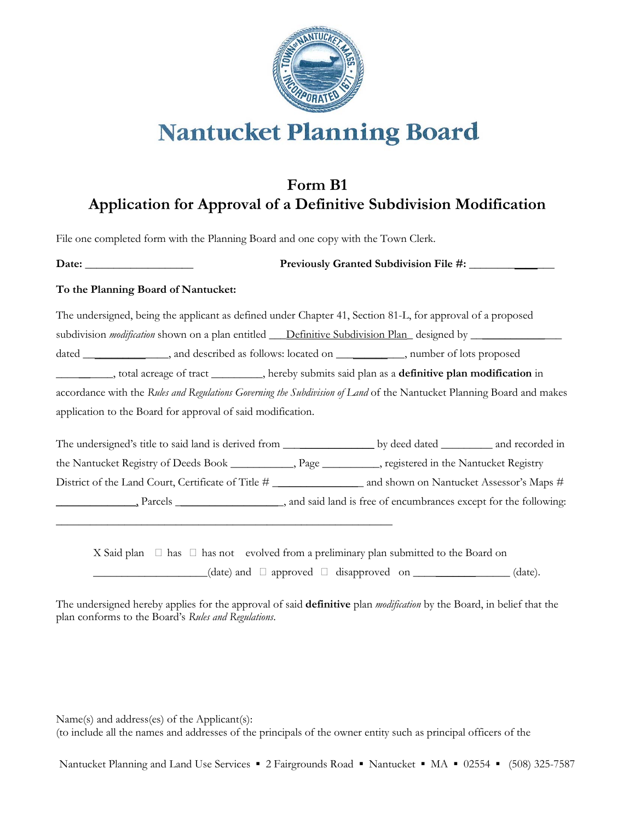

## **Nantucket Planning Board**

## **Form B1 Application for Approval of a Definitive Subdivision Modification**

File one completed form with the Planning Board and one copy with the Town Clerk.

\_\_\_\_\_\_\_\_\_\_\_\_\_\_\_\_\_\_\_\_\_\_\_\_\_\_\_\_\_\_\_\_\_\_\_\_\_\_\_\_\_\_\_\_\_\_\_\_\_\_\_\_\_\_\_\_\_\_\_

**Date:** \_\_\_\_\_\_\_\_\_\_\_\_\_\_\_\_\_\_\_ **Previously Granted Subdivision File #:** \_\_\_\_\_\_\_\_\_\_\_\_\_\_\_

## **To the Planning Board of Nantucket:**

The undersigned, being the applicant as defined under Chapter 41, Section 81-L, for approval of a proposed subdivision *modification* shown on a plan entitled \_\_\_Definitive Subdivision Plan\_ designed by \_\_\_\_\_\_\_\_\_\_\_\_\_\_\_\_ dated \_\_\_\_\_\_\_\_\_\_\_\_\_\_\_, and described as follows: located on \_\_\_\_\_\_\_\_\_\_\_\_, number of lots proposed \_\_\_\_\_\_\_\_\_\_, total acreage of tract \_\_\_\_\_\_\_\_\_, hereby submits said plan as a **definitive plan modification** in accordance with the *Rules and Regulations Governing the Subdivision of Land* of the Nantucket Planning Board and makes application to the Board for approval of said modification.

The undersigned's title to said land is derived from \_\_\_\_\_\_\_\_\_\_\_\_\_\_\_\_\_\_\_\_\_\_ by deed dated \_\_\_\_\_\_\_\_\_\_ and recorded in the Nantucket Registry of Deeds Book \_\_\_\_\_\_\_\_\_\_\_, Page \_\_\_\_\_\_\_\_\_\_, registered in the Nantucket Registry District of the Land Court, Certificate of Title # \_\_\_\_\_\_\_\_\_\_\_\_\_\_\_\_ and shown on Nantucket Assessor's Maps # \_\_\_\_\_\_\_\_\_\_\_\_\_\_, Parcels \_\_\_\_\_\_\_\_\_\_\_\_\_\_\_\_\_\_\_, and said land is free of encumbrances except for the following:

X Said plan  $\Box$  has  $\Box$  has not evolved from a preliminary plan submitted to the Board on  $\Box$  (date) and  $\Box$  approved  $\Box$  disapproved on  $\Box$   $\Box$  (date).

The undersigned hereby applies for the approval of said **definitive** plan *modification* by the Board, in belief that the plan conforms to the Board's *Rules and Regulations*.

Name(s) and address(es) of the Applicant(s): (to include all the names and addresses of the principals of the owner entity such as principal officers of the

Nantucket Planning and Land Use Services ▪ 2 Fairgrounds Road ▪ Nantucket ▪ MA ▪ 02554 ▪ (508) 325-7587